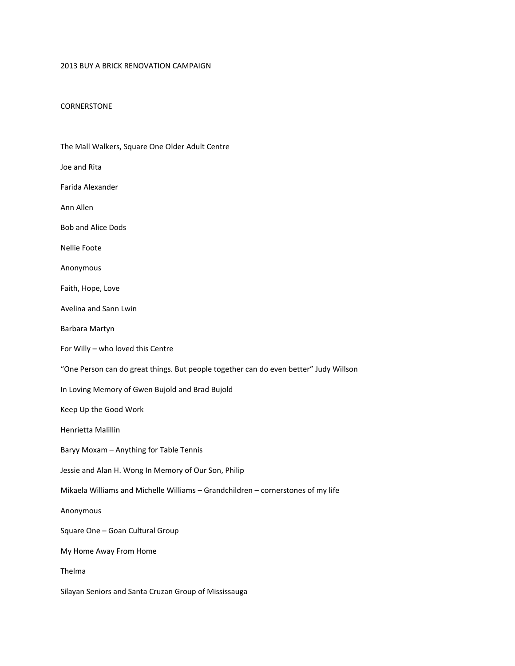## 2013 BUY A BRICK RENOVATION CAMPAIGN

## CORNERSTONE

| The Mall Walkers, Square One Older Adult Centre                                       |
|---------------------------------------------------------------------------------------|
| Joe and Rita                                                                          |
| Farida Alexander                                                                      |
| Ann Allen                                                                             |
| <b>Bob and Alice Dods</b>                                                             |
| Nellie Foote                                                                          |
| Anonymous                                                                             |
| Faith, Hope, Love                                                                     |
| Avelina and Sann Lwin                                                                 |
| Barbara Martyn                                                                        |
| For Willy - who loved this Centre                                                     |
| "One Person can do great things. But people together can do even better" Judy Willson |
| In Loving Memory of Gwen Bujold and Brad Bujold                                       |
| Keep Up the Good Work                                                                 |
| Henrietta Malillin                                                                    |
| Baryy Moxam - Anything for Table Tennis                                               |
| Jessie and Alan H. Wong In Memory of Our Son, Philip                                  |
| Mikaela Williams and Michelle Williams - Grandchildren - cornerstones of my life      |
| Anonymous                                                                             |
| Square One - Goan Cultural Group                                                      |
| My Home Away From Home                                                                |
| Thelma                                                                                |
| Silayan Seniors and Santa Cruzan Group of Mississauga                                 |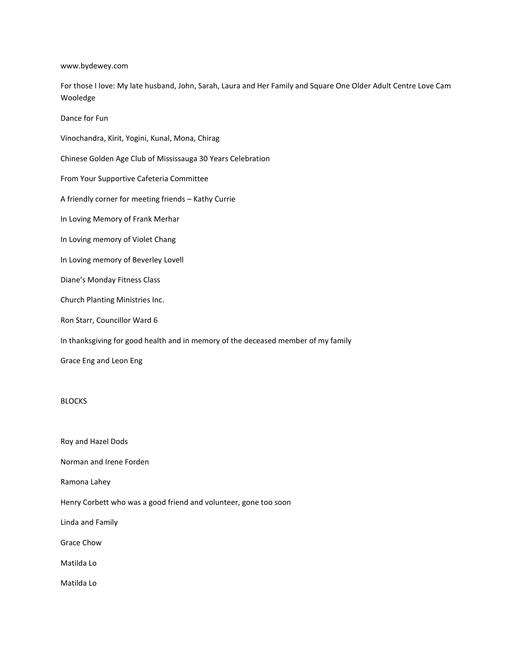www.bydewey.com

For those I love: My late husband, John, Sarah, Laura and Her Family and Square One Older Adult Centre Love Cam Wooledge

Dance for Fun

Vinochandra, Kirit, Yogini, Kunal, Mona, Chirag

Chinese Golden Age Club of Mississauga 30 Years Celebration

From Your Supportive Cafeteria Committee

A friendly corner for meeting friends – Kathy Currie

In Loving Memory of Frank Merhar

In Loving memory of Violet Chang

In Loving memory of Beverley Lovell

Diane's Monday Fitness Class

Church Planting Ministries Inc.

Ron Starr, Councillor Ward 6

In thanksgiving for good health and in memory of the deceased member of my family

Grace Eng and Leon Eng

## BLOCKS

Roy and Hazel Dods Norman and Irene Forden Ramona Lahey Henry Corbett who was a good friend and volunteer, gone too soon Linda and Family Grace Chow Matilda Lo Matilda Lo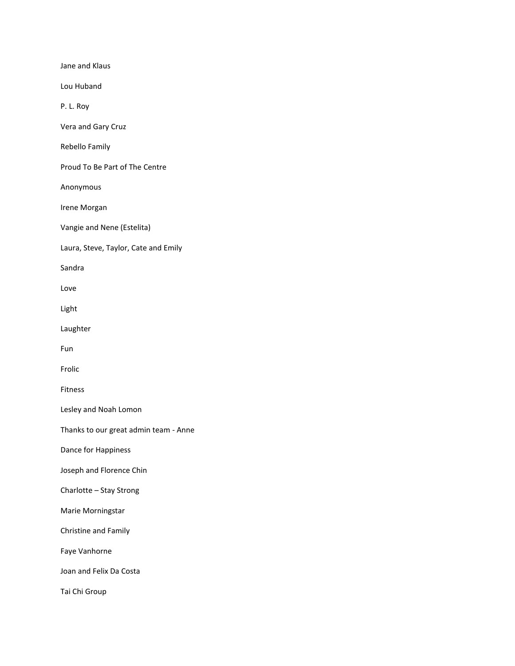Jane and Klaus Lou Huband P. L. Roy Vera and Gary Cruz Rebello Family Proud To Be Part of The Centre Anonymous Irene Morgan Vangie and Nene (Estelita) Laura, Steve, Taylor, Cate and Emily Sandra Love Light Laughter Fun Frolic Fitness Lesley and Noah Lomon Thanks to our great admin team - Anne Dance for Happiness Joseph and Florence Chin Charlotte – Stay Strong Marie Morningstar Christine and Family Faye Vanhorne Joan and Felix Da Costa Tai Chi Group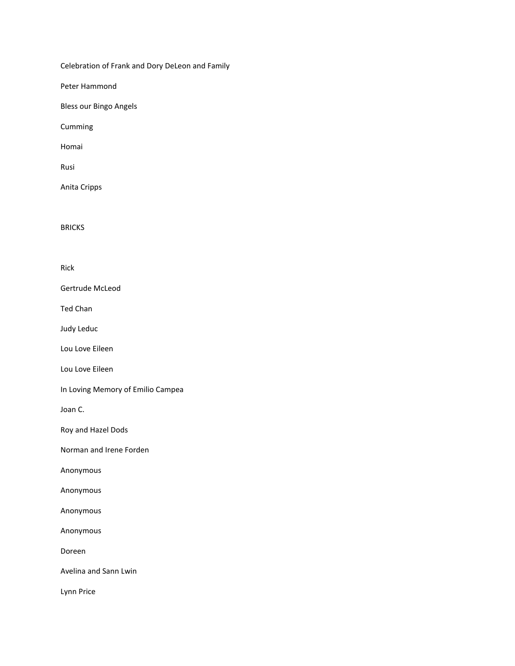Celebration of Frank and Dory DeLeon and Family

Peter Hammond

Bless our Bingo Angels

Cumming

Homai

Rusi

Anita Cripps

BRICKS

Rick

Gertrude McLeod

Ted Chan

Judy Leduc

Lou Love Eileen

Lou Love Eileen

In Loving Memory of Emilio Campea

Joan C.

Roy and Hazel Dods

Norman and Irene Forden

Anonymous

Anonymous

Anonymous

Anonymous

Doreen

Avelina and Sann Lwin

Lynn Price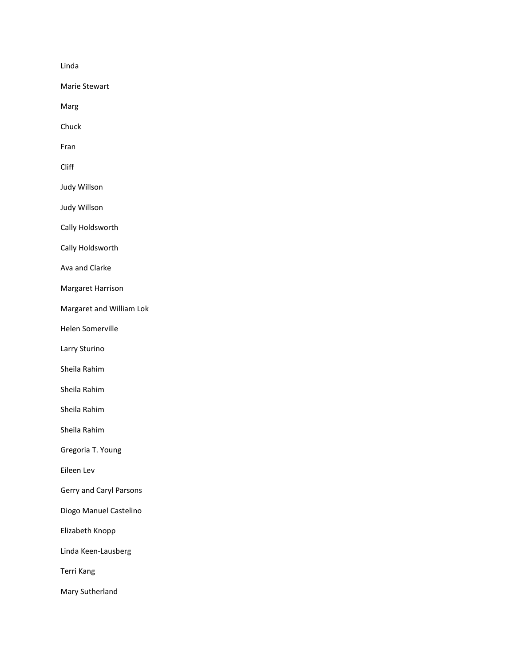Linda

Marie Stewart

Marg

Chuck

Fran

Cliff

Judy Willson

Judy Willson

Cally Holdsworth

Cally Holdsworth

Ava and Clarke

Margaret Harrison

Margaret and William Lok

Helen Somerville

Larry Sturino

Sheila Rahim

Sheila Rahim

Sheila Rahim

Sheila Rahim

Gregoria T. Young

Eileen Lev

Gerry and Caryl Parsons

Diogo Manuel Castelino

Elizabeth Knopp

Linda Keen-Lausberg

Terri Kang

Mary Sutherland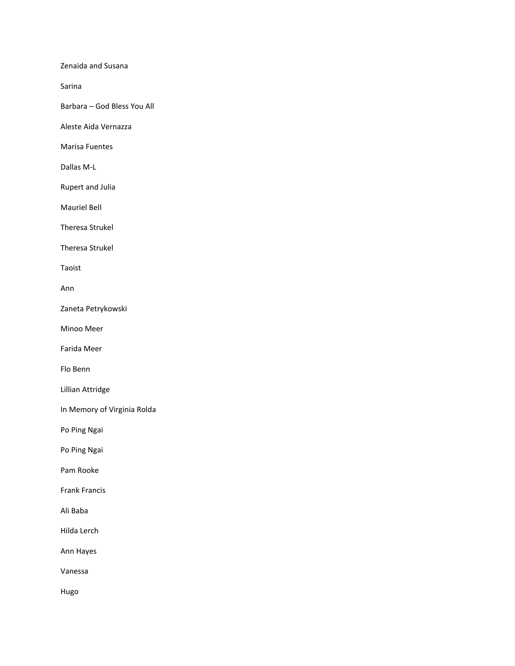Zenaida and Susana

Sarina

Barbara – God Bless You All

Aleste Aida Vernazza

Marisa Fuentes

Dallas M-L

Rupert and Julia

Mauriel Bell

Theresa Strukel

Theresa Strukel

Taoist

Ann

Zaneta Petrykowski

Minoo Meer

Farida Meer

Flo Benn

Lillian Attridge

In Memory of Virginia Rolda

Po Ping Ngai

Po Ping Ngai

Pam Rooke

Frank Francis

Ali Baba

Hilda Lerch

Ann Hayes

Vanessa

Hugo